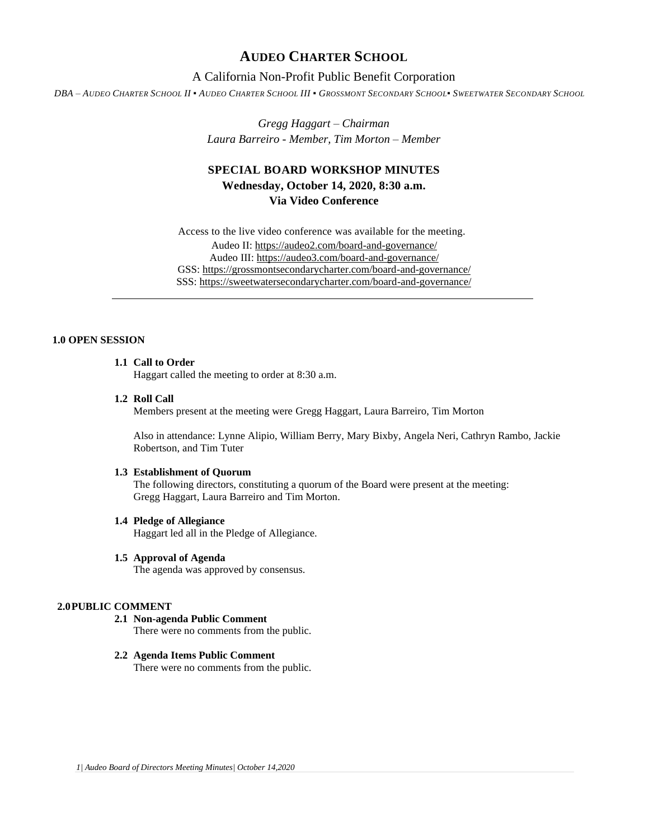# **AUDEO CHARTER SCHOOL**

## A California Non-Profit Public Benefit Corporation

DBA - AUDEO CHARTER SCHOOL II . AUDEO CHARTER SCHOOL III . GROSSMONT SECONDARY SCHOOL. SWEETWATER SECONDARY SCHOOL

*Gregg Haggart – Chairman Laura Barreiro - Member, Tim Morton – Member*

# **SPECIAL BOARD WORKSHOP MINUTES Wednesday, October 14, 2020, 8:30 a.m. Via Video Conference**

Access to the live video conference was available for the meeting. Audeo II[: https://audeo2.com/board-and-governance/](https://audeo2.com/board-and-governance/) Audeo III:<https://audeo3.com/board-and-governance/> GSS:<https://grossmontsecondarycharter.com/board-and-governance/> SSS:<https://sweetwatersecondarycharter.com/board-and-governance/>

## **1.0 OPEN SESSION**

### **1.1 Call to Order**

Haggart called the meeting to order at 8:30 a.m.

#### **1.2 Roll Call**

Members present at the meeting were Gregg Haggart, Laura Barreiro, Tim Morton

Also in attendance: Lynne Alipio, William Berry, Mary Bixby, Angela Neri, Cathryn Rambo, Jackie Robertson, and Tim Tuter

### **1.3 Establishment of Quorum**

The following directors, constituting a quorum of the Board were present at the meeting: Gregg Haggart, Laura Barreiro and Tim Morton.

#### **1.4 Pledge of Allegiance**

Haggart led all in the Pledge of Allegiance.

#### **1.5 Approval of Agenda**

The agenda was approved by consensus.

## **2.0PUBLIC COMMENT**

## **2.1 Non-agenda Public Comment**

There were no comments from the public.

#### **2.2 Agenda Items Public Comment**

There were no comments from the public.